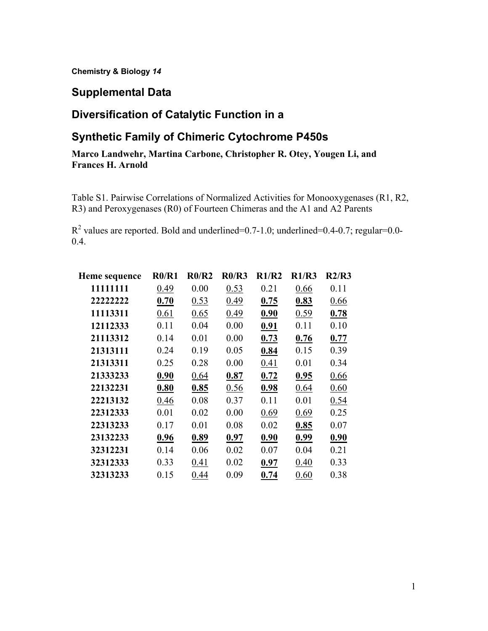**Chemistry & Biology** *14* 

#### **Supplemental Data**

# **Diversification of Catalytic Function in a**

# **Synthetic Family of Chimeric Cytochrome P450s**

#### **Marco Landwehr, Martina Carbone, Christopher R. Otey, Yougen Li, and Frances H. Arnold**

Table S1. Pairwise Correlations of Normalized Activities for Monooxygenases (R1, R2, R3) and Peroxygenases (R0) of Fourteen Chimeras and the A1 and A2 Parents

 $R^2$  values are reported. Bold and underlined=0.7-1.0; underlined=0.4-0.7; regular=0.0-0.4.

| Heme sequence | R0/R1 | R0/R2 | R0/R3 | R1/R2 | R1/R3 | R2/R3 |
|---------------|-------|-------|-------|-------|-------|-------|
| 11111111      | 0.49  | 0.00  | 0.53  | 0.21  | 0.66  | 0.11  |
| 22222222      | 0.70  | 0.53  | 0.49  | 0.75  | 0.83  | 0.66  |
| 11113311      | 0.61  | 0.65  | 0.49  | 0.90  | 0.59  | 0.78  |
| 12112333      | 0.11  | 0.04  | 0.00  | 0.91  | 0.11  | 0.10  |
| 21113312      | 0.14  | 0.01  | 0.00  | 0.73  | 0.76  | 0.77  |
| 21313111      | 0.24  | 0.19  | 0.05  | 0.84  | 0.15  | 0.39  |
| 21313311      | 0.25  | 0.28  | 0.00  | 0.41  | 0.01  | 0.34  |
| 21333233      | 0.90  | 0.64  | 0.87  | 0.72  | 0.95  | 0.66  |
| 22132231      | 0.80  | 0.85  | 0.56  | 0.98  | 0.64  | 0.60  |
| 22213132      | 0.46  | 0.08  | 0.37  | 0.11  | 0.01  | 0.54  |
| 22312333      | 0.01  | 0.02  | 0.00  | 0.69  | 0.69  | 0.25  |
| 22313233      | 0.17  | 0.01  | 0.08  | 0.02  | 0.85  | 0.07  |
| 23132233      | 0.96  | 0.89  | 0.97  | 0.90  | 0.99  | 0.90  |
| 32312231      | 0.14  | 0.06  | 0.02  | 0.07  | 0.04  | 0.21  |
| 32312333      | 0.33  | 0.41  | 0.02  | 0.97  | 0.40  | 0.33  |
| 32313233      | 0.15  | 0.44  | 0.09  | 0.74  | 0.60  | 0.38  |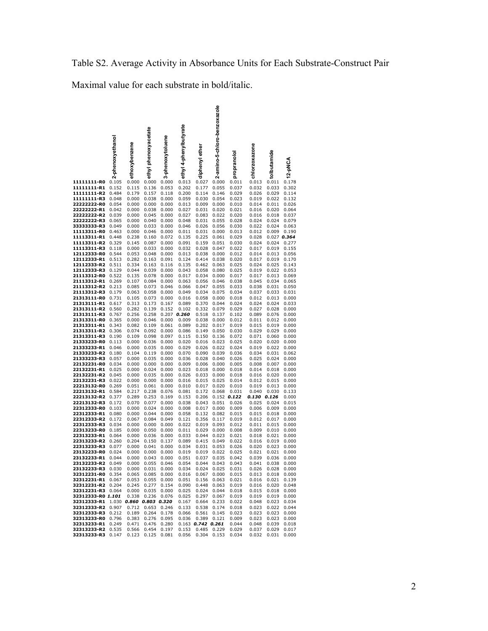Maximal value for each substrate in bold/italic.

|                                                             | 2-phenoxyethanol | ethoxybenzene  | ethyl phenoxyacetate                         | 3-phenoxytoluene | ethyl 4-phenylbutyrate                    | diphenyl ether      | amino-5-chloro-benzoxazole<br>Ń | pranolol<br>S                    | chlorzoxazone        | tolbutamide                            | 12-pNCA        |
|-------------------------------------------------------------|------------------|----------------|----------------------------------------------|------------------|-------------------------------------------|---------------------|---------------------------------|----------------------------------|----------------------|----------------------------------------|----------------|
| 11111111-R0                                                 | 0.105            | 0.000          | 0.000                                        | 0.000            | 0.013                                     | 0.027               | 0.000                           | 0.011                            | 0.013                | 0.011                                  | 0.178          |
| 11111111-R1                                                 | 0.152            | 0.115          | 0.136                                        | 0.053            | 0.202                                     | 0.177               | 0.055                           | 0.037                            | 0.032                | 0.033                                  | 0.302          |
| 11111111-R2<br>11111111-R3                                  | 0.484<br>0.048   | 0.179<br>0.000 | 0.157<br>0.038                               | 0.118<br>0.000   | 0.200<br>0.059                            | 0.114<br>0.030      | 0.146<br>0.054                  | 0.029<br>0.023                   | 0.026<br>0.019       | 0.029<br>0.022                         | 0.114<br>0.132 |
| 22222222-R0                                                 | 0.054            | 0.000          | 0.000                                        | 0.000            | 0.013                                     | 0.009               | 0.000                           | 0.010                            | 0.014                | 0.011                                  | 0.026          |
| 22222222-R1                                                 | 0.042            | 0.000          | 0.038                                        | 0.000            | 0.027                                     | 0.031               | 0.020                           | 0.021                            | 0.016                | 0.020                                  | 0.064          |
| 22222222-R2                                                 | 0.039            | 0.000          | 0.045                                        | 0.000            | 0.027                                     | 0.083               | 0.022                           | 0.020                            | 0.016                | 0.018                                  | 0.037          |
| 22222222-R3<br>3333333-R3                                   | 0.065<br>0.049   | 0.000<br>0.000 | 0.040<br>0.033                               | 0.000<br>0.000   | 0.048<br>0.046                            | 0.031<br>0.026      | 0.055<br>0.056                  | 0.028<br>0.030                   | 0.024<br>0.022       | 0.024<br>0.024                         | 0.079<br>0.063 |
| 11113311-R0                                                 | 0.463            | 0.000          | 0.046                                        | 0.000            | 0.011                                     | 0.031               | 0.000                           | 0.013                            | 0.012                | 0.009                                  | 0.190          |
| 11113311-R1                                                 | 0.448            | 0.238          | 0.160                                        | 0.072            | 0.135                                     | 0.225               | 0.061                           | 0.029                            | 0.028                |                                        | 0.027 0.364    |
| 11113311-R2<br>11113311-R3                                  | 0.329<br>0.118   | 0.145<br>0.000 | 0.087<br>0.033                               | 0.000<br>0.000   | 0.091<br>0.032                            | 0.159<br>0.028      | 0.051<br>0.047                  | 0.030<br>0.022                   | 0.024<br>0.017       | 0.024<br>0.019                         | 0.277<br>0.155 |
| 12112333-R0                                                 | 0.544            | 0.053          | 0.048                                        | 0.000            | 0.013                                     | 0.038               | 0.000                           | 0.012                            | 0.014                | 0.013                                  | 0.056          |
| 12112333-R1                                                 | 0.513            | 0.282          | 0.163                                        | 0.091            | 0.124                                     | 0.414               | 0.038                           | 0.020                            | 0.017                | 0.019                                  | 0.170          |
| 12112333-R2                                                 | 0.511            | 0.334          | 0.163                                        | 0.116            | 0.135                                     | 0.462               | 0.063                           | 0.025                            | 0.024                | 0.025                                  | 0.143          |
| 12112333-R3<br>21113312-R0                                  | 0.129<br>0.522   | 0.044<br>0.135 | 0.039<br>0.078                               | 0.000<br>0.000   | 0.043<br>0.017                            | 0.058<br>0.034      | 0.080<br>0.000                  | 0.025<br>0.017                   | 0.019<br>0.017       | 0.022<br>0.013                         | 0.053<br>0.069 |
| 21113312-R1                                                 | 0.269            | 0.107          | 0.084                                        | 0.000            | 0.063                                     | 0.056               | 0.046                           | 0.038                            | 0.045                | 0.034                                  | 0.065          |
| 21113312-R2                                                 | 0.213            | 0.085          | 0.073                                        | 0.046            | 0.066                                     | 0.047               | 0.055                           | 0.033                            | 0.038                | 0.031                                  | 0.050          |
| 21113312-R3<br>21313111-R0                                  | 0.179<br>0.731   | 0.063<br>0.105 | 0.058<br>0.073                               | 0.000<br>0.000   | 0.049<br>0.016                            | 0.034<br>0.058      | 0.075<br>0.000                  | 0.034<br>0.018                   | 0.037<br>0.012       | 0.033<br>0.013                         | 0.031<br>0.000 |
| 21313111-R1                                                 | 0.617            | 0.313          | 0.173                                        | 0.167            | 0.089                                     | 0.370               | 0.044                           | 0.024                            | 0.024                | 0.024                                  | 0.033          |
| 21313111-R2                                                 | 0.560            | 0.282          | 0.139                                        | 0.152            | 0.102                                     | 0.332               | 0.079                           | 0.029                            | 0.027                | 0.028                                  | 0.000          |
| 21313111-R3                                                 | 0.767            | 0.256          | 0.258                                        | 0.207            | 0.260                                     | 0.518               | 0.137                           | 0.102                            | 0.089                | 0.076                                  | 0.000          |
| 21313311-R0<br>21313311-R1                                  | 0.365<br>0.343   | 0.000<br>0.082 | 0.046<br>0.109                               | 0.000<br>0.061   | 0.009<br>0.089                            | 0.038<br>0.202      | 0.000<br>0.017                  | 0.012<br>0.019                   | 0.011<br>0.015       | 0.012<br>0.019                         | 0.000<br>0.000 |
| 21313311-R2                                                 | 0.306            | 0.074          | 0.092                                        | 0.000            | 0.086                                     | 0.149               | 0.050                           | 0.030                            | 0.029                | 0.029                                  | 0.000          |
| 21313311-R3                                                 | 0.190            | 0.109          | 0.098                                        | 0.097            | 0.115                                     | 0.150               | 0.136                           | 0.072                            | 0.071                | 0.060                                  | 0.000          |
| 21333233-R0<br>21333233-R1                                  | 0.113<br>0.046   | 0.000<br>0.000 | 0.036<br>0.035                               | 0.000<br>0.000   | 0.020<br>0.029                            | 0.016<br>0.026      | 0.023<br>0.022                  | 0.025<br>0.024                   | 0.020<br>0.019       | 0.020<br>0.022                         | 0.000<br>0.000 |
| 21333233-R2                                                 | 0.180            | 0.104          | 0.119                                        | 0.000            | 0.070                                     | 0.090               | 0.039                           | 0.036                            | 0.034                | 0.031                                  | 0.062          |
| 21333233-R3                                                 | 0.057            | 0.000          | 0.035                                        | 0.000            | 0.036                                     | 0.028               | 0.040                           | 0.026                            | 0.025                | 0.024                                  | 0.000          |
| 22132231-R0                                                 | 0.034            | 0.000          | 0.000                                        | 0.000            | 0.009                                     | 0.006               | 0.000                           | 0.005                            | 0.008                | 0.007                                  | 0.000          |
| 22132231-R1<br>22132231-R2                                  | 0.025<br>0.045   | 0.000<br>0.000 | 0.024<br>0.035                               | 0.000<br>0.000   | 0.023<br>0.026                            | 0.018<br>0.033      | 0.000<br>0.000                  | 0.018<br>0.018                   | 0.014<br>0.016       | 0.018<br>0.020                         | 0.000<br>0.000 |
| 22132231-R3                                                 | 0.022            | 0.000          | 0.000                                        | 0.000            | 0.016                                     | 0.015               | 0.025                           | 0.014                            | 0.012                | 0.015                                  | 0.000          |
| 22213132-R0                                                 | 0.269            | 0.051          | 0.061                                        | 0.000            | 0.010                                     | 0.017               | 0.020                           | 0.010                            | 0.019                | 0.013                                  | 0.000          |
| 22213132-R1<br>22213132-R2                                  | 0.584<br>0.377   | 0.217<br>0.289 | 0.238<br>0.253                               | 0.076<br>0.169   | 0.081<br>0.153                            | 0.172<br>0.206      | 0.068                           | 0.031<br>$0.152$ 0.122           | 0.040<br>0.130 0.126 | 0.030                                  | 0.133<br>0.000 |
| 22213132-R3                                                 | 0.172            | 0.070          | 0.077                                        | 0.000            | 0.038                                     | 0.043               | 0.051                           | 0.026                            | 0.025                | 0.024                                  | 0.015          |
| 22312333-R0                                                 | 0.103            | 0.000          | 0.024                                        | 0.000            | 0.008                                     | 0.017               | 0.000                           | 0.009                            | 0.006                | 0.009                                  | 0.000          |
| 22312333-R1<br>22312333-R2                                  | 0.080<br>0.172   | 0.000<br>0.067 | 0.044<br>0.084                               | 0.000<br>0.049   | 0.058<br>0.121                            | 0.132<br>0.356      | 0.082<br>0.117                  | 0.015<br>0.019                   | 0.015<br>0.012       | 0.018<br>0.017                         | 0.000<br>0.000 |
| 22312333-R3                                                 | 0.034            | 0.000          | 0.000                                        | 0.000            | 0.022                                     | 0.019               | 0.093                           | 0.012                            | 0.011                | 0.015                                  | 0.000          |
| 22313233-R0                                                 | 0.185            | 0.000          | 0.050                                        | 0.000            | 0.011                                     | 0.029               | 0.000                           | 0.008                            | 0.009                | 0.010                                  | 0.000          |
| 22313233-R1<br>22313233-R2                                  | 0.064<br>0.260   | 0.000<br>0.204 | 0.036<br>0.150                               | 0.000<br>0.137   | 0.033                                     | 0.044<br>0.415      | 0.023<br>0.049                  | 0.021<br>0.022                   | 0.018                | 0.021<br>0.019                         | 0.000<br>0.000 |
| 22313233-R3                                                 | 0.077            | 0.000          | 0.041                                        | 0.000            | 0.089<br>0.034                            | 0.031               | 0.053                           | 0.026                            | 0.016<br>0.020       | 0.023                                  | 0.000          |
| 23132233-R0                                                 | 0.024            | 0.000          |                                              | $0.000$ $0.000$  | 0.019                                     | 0.019               | 0.022                           | 0.025                            | 0.021                | 0.021                                  | 0.000          |
| 23132233-R1                                                 | 0.044            | 0.000          | 0.043                                        | 0.000            | 0.051                                     |                     | 0.037 0.035                     | 0.042                            | 0.039                | 0.036                                  | 0.000          |
| 23132233-R2 0.049 0.000 0.055 0.046<br>23132233-R3 0.030    |                  |                |                                              |                  | 0.000 0.031 0.000 0.034 0.024 0.025 0.031 |                     |                                 | 0.054 0.044 0.043 0.043          |                      | 0.041 0.038 0.000<br>0.026 0.028 0.000 |                |
| 32312231-R0 0.354                                           |                  |                |                                              |                  | 0.065 0.085 0.000 0.016 0.067 0.000 0.015 |                     |                                 |                                  | 0.013                | $0.018$ 0.000                          |                |
| 32312231-R1 0.067                                           |                  | 0.053          |                                              | 0.055 0.000      | 0.051                                     |                     | 0.156 0.063                     | 0.021                            | 0.016                | 0.021 0.139                            |                |
| 32312231-R2 0.204<br>32312231-R3 0.064                      |                  |                | 0.245 0.277 0.154<br>$0.000$ $0.035$ $0.000$ |                  | 0.090<br>0.025                            |                     | 0.448 0.063<br>0.024 0.044      | 0.019<br>0.018                   | 0.016<br>0.015       | $0.018$ 0.000                          | 0.020 0.048    |
| 32312333-R0 1.101                                           |                  |                | 0.338 0.236 0.076                            |                  | 0.025                                     |                     | 0.297 0.067                     | 0.019                            | 0.019                | $0.019$ $0.000$                        |                |
| 32312333-R1 1.030 0.860 0.803 0.320                         |                  |                |                                              |                  | 0.167                                     |                     |                                 | 0.664 0.233 0.022                | 0.048                | 0.023 0.034                            |                |
| 32312333-R2 0.907 0.712 0.653 0.246 0.133 0.538 0.174 0.018 |                  |                |                                              |                  |                                           |                     |                                 |                                  | 0.023                | 0.022 0.044                            |                |
| 32312333-R3 0.212<br>32313233-RO 0.796                      |                  |                | 0.189 0.264 0.178<br>0.383 0.276 0.095       |                  |                                           | 0.066  0.561  0.145 |                                 | 0.023<br>0.036 0.389 0.121 0.009 | 0.023<br>0.023       | $0.023$ 0.000<br>$0.023$ 0.000         |                |
| 32313233-R1 0.249 0.471 0.476 0.280                         |                  |                |                                              |                  |                                           | $0.163$ 0.742 0.261 |                                 | 0.044                            | 0.048                |                                        | 0.039 0.018    |
| 32313233-R2 0.535                                           |                  |                | 0.566 0.454 0.197                            |                  |                                           | 0.153  0.485  0.229 |                                 | 0.029                            | 0.037                |                                        | 0.029 0.017    |
| 32313233-R3 0.147 0.123 0.125 0.081                         |                  |                |                                              |                  |                                           |                     |                                 | 0.056 0.304 0.153 0.034          | 0.032                | 0.031 0.000                            |                |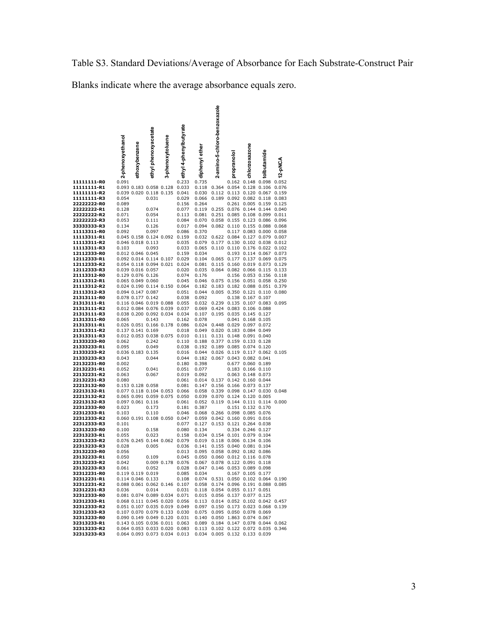Table S3. Standard Deviations/Average of Absorbance for Each Substrate-Construct Pair

Blanks indicate where the average absorbance equals zero.

|                            | 2-phenoxyethanol | ethoxybenzene                          | ethyl phenoxyacetate    | 3-phenoxytoluene              | ethyl 4-phenylbutyrate                                                                             | diphenyl ether                                                       | 2-amino-5-chloro-benzoxazole  | propranolo                                   | chlorzoxazone                          | tolbutamide                                        |                |
|----------------------------|------------------|----------------------------------------|-------------------------|-------------------------------|----------------------------------------------------------------------------------------------------|----------------------------------------------------------------------|-------------------------------|----------------------------------------------|----------------------------------------|----------------------------------------------------|----------------|
| 11111111-R0                | 0.091            |                                        |                         |                               | 0.233                                                                                              | 0.735                                                                |                               |                                              |                                        | 0.162 0.148 0.098 0.052                            |                |
| 11111111-R1<br>11111111-R2 |                  |                                        | 0.093 0.183 0.058 0.128 | 0.039 0.020 0.118 0.135 0.041 | 0.033                                                                                              | 0.118<br>0.030                                                       | 0.364<br>0.112                |                                              | 0.054 0.128 0.106<br>0.113 0.120 0.067 |                                                    | 0.076<br>0.159 |
| 11111111-R3                | 0.054            |                                        | 0.031                   |                               | 0.029                                                                                              | 0.066                                                                |                               | 0.189 0.092 0.082 0.118                      |                                        |                                                    | 0.083          |
| 22222222-R0                | 0.089            |                                        |                         |                               | 0.156                                                                                              | 0.264                                                                |                               |                                              |                                        | 0.261 0.005 0.159                                  | 0.125          |
| 22222222-R1<br>22222222-R2 | 0.128<br>0.071   |                                        | 0.074<br>0.054          |                               | 0.077<br>0.113                                                                                     | 0.119<br>0.081                                                       | 0.255<br>0.251                | 0.085                                        |                                        | 0.076 0.144 0.144 0.040<br>0.108 0.099 0.011       |                |
| 22222222-R3                | 0.053            |                                        | 0.111                   |                               | 0.084                                                                                              | 0.070                                                                | 0.058                         |                                              |                                        | 0.155 0.123 0.086 0.096                            |                |
| 33333333-R3                | 0.134            |                                        | 0.126                   |                               | 0.017                                                                                              | 0.094                                                                | 0.082                         |                                              |                                        | 0.110 0.155 0.088 0.068                            |                |
| 11113311-R0<br>11113311-R1 | 0.092            |                                        | 0.097                   | 0.045 0.158 0.124 0.092 0.159 | 0.086                                                                                              | 0.370<br>0.032                                                       | 0.622 0.084 0.127 0.079 0.007 |                                              |                                        | 0.117 0.083 0.000 0.058                            |                |
| 11113311-R2                |                  | 0.046 0.018 0.113                      |                         |                               | 0.035                                                                                              | 0.079                                                                | 0.177                         |                                              |                                        | 0.130 0.102 0.038 0.012                            |                |
| 11113311-R3                | 0.103            |                                        | 0.093                   |                               | 0.033                                                                                              | 0.065                                                                |                               | 0.110 0.110 0.176 0.022 0.102                |                                        |                                                    |                |
| 12112333-R0<br>12112333-R1 |                  | 0.012 0.046 0.045                      |                         | 0.092 0.014 0.114 0.107 0.029 | 0.159                                                                                              | 0.034<br>0.104                                                       | 0.065                         |                                              |                                        | 0.193 0.114 0.067<br>0.177 0.137 0.069 0.075       | 0.073          |
| 12112333-R2                |                  |                                        |                         | 0.054 0.118 0.094 0.021 0.024 |                                                                                                    | 0.081                                                                | 0.115                         |                                              |                                        | 0.160 0.019 0.073 0.129                            |                |
| 12112333-R3<br>21113312-R0 |                  | 0.039 0.016 0.057<br>0.129 0.076 0.126 |                         |                               | 0.020                                                                                              | 0.035                                                                |                               | 0.064 0.082 0.066 0.115                      |                                        |                                                    | 0.133          |
| 21113312-R1                |                  | 0.065 0.049 0.060                      |                         |                               | 0.074<br>0.045                                                                                     | 0.176<br>0.046                                                       | 0.075                         |                                              |                                        | 0.156 0.053 0.156 0.118<br>0.156 0.051 0.058 0.250 |                |
| 21113312-R2                |                  |                                        |                         | 0.024 0.190 0.114 0.150 0.064 |                                                                                                    | 0.182                                                                | 0.183                         |                                              |                                        | 0.182 0.088 0.051 0.379                            |                |
| 21113312-R3<br>21313111-R0 |                  | 0.094 0.147 0.087<br>0.078 0.177 0.142 |                         |                               | 0.051<br>0.038                                                                                     | 0.044<br>0.092                                                       | 0.005                         |                                              | 0.138 0.167 0.107                      | 0.350 0.121 0.110                                  | 0.080          |
| 21313111-R1                |                  |                                        |                         | 0.116 0.046 0.019 0.088 0.055 |                                                                                                    | 0.032                                                                | 0.239                         |                                              | 0.135 0.107 0.083                      |                                                    | 0.095          |
| 21313111-R2                |                  |                                        | 0.012 0.084 0.076 0.039 |                               | 0.037                                                                                              | 0.069                                                                | 0.424                         |                                              | 0.083 0.106 0.088                      |                                                    |                |
| 21313111-R3<br>21313311-R0 | 0.065            |                                        | 0.143                   | 0.038 0.200 0.092 0.034       | 0.034<br>0.162                                                                                     | 0.107<br>0.078                                                       | 0.195                         |                                              | 0.035 0.145 0.127<br>0.041 0.168 0.105 |                                                    |                |
| 21313311-R1                |                  |                                        | 0.026 0.051 0.166 0.178 |                               | 0.086                                                                                              | 0.024                                                                | 0.448                         | 0.029                                        | 0.097 0.072                            |                                                    |                |
| 21313311-R2                |                  | 0.137 0.141 0.169                      |                         |                               | 0.018                                                                                              | 0.049                                                                |                               | 0.020 0.183 0.084 0.049                      |                                        |                                                    |                |
| 21313311-R3<br>21333233-R0 | 0.062            |                                        | 0.242                   | 0.012 0.053 0.038 0.075 0.010 | 0.110                                                                                              | 0.111<br>0.188                                                       | 0.131<br>0.377                |                                              | 0.148 0.091 0.040<br>0.159 0.133 0.128 |                                                    |                |
| 21333233-R1                | 0.095            |                                        | 0.049                   |                               | 0.038                                                                                              | 0.192                                                                |                               | 0.189 0.085 0.074 0.120                      |                                        |                                                    |                |
| 21333233-R2                |                  | 0.036 0.183 0.135                      |                         |                               | 0.016                                                                                              | 0.044                                                                | 0.026                         |                                              | 0.119 0.117 0.062                      |                                                    | 0.105          |
| 21333233-R3<br>22132231-R0 | 0.043<br>0.002   |                                        | 0.044                   |                               | 0.044<br>0.180                                                                                     | 0.182<br>0.398                                                       | 0.067                         |                                              | 0.043 0.082 0.041<br>0.677 0.060 0.189 |                                                    |                |
| 22132231-R1                | 0.052            |                                        | 0.041                   |                               | 0.051                                                                                              | 0.077                                                                |                               |                                              | 0.183 0.166 0.110                      |                                                    |                |
| 22132231-R2                | 0.063            |                                        | 0.067                   |                               | 0.019                                                                                              | 0.092                                                                |                               |                                              | 0.063 0.148 0.073                      |                                                    |                |
| 22132231-R3<br>22213132-R0 | 0.080            | 0.153 0.128 0.058                      |                         |                               | 0.061<br>0.081                                                                                     | 0.014<br>0.147                                                       | 0.156                         | 0.137 0.142 0.160 0.044<br>0.166 0.073 0.137 |                                        |                                                    |                |
| 22213132-R1                |                  |                                        |                         | 0.077 0.118 0.104 0.053 0.066 |                                                                                                    | 0.058                                                                | 0.339                         | 0.098                                        | 0.147 0.030                            |                                                    | 0.048          |
| 22213132-R2                |                  |                                        |                         | 0.065 0.091 0.059 0.075 0.050 | 0.061                                                                                              | 0.039                                                                | 0.070                         | 0.124 0.120 0.005                            |                                        |                                                    |                |
| 22213132-R3<br>22312333-R0 | 0.023            | 0.097 0.061 0.116                      | 0.173                   |                               | 0.181                                                                                              | 0.052<br>0.387                                                       | 0.119                         |                                              | 0.144 0.111 0.114<br>0.151 0.132 0.170 |                                                    | 0.000          |
| 22312333-R1                | 0.103            |                                        | 0.110                   |                               | 0.046                                                                                              | 0.068                                                                |                               | 0.266 0.098 0.085 0.076                      |                                        |                                                    |                |
| 22312333-R2<br>22312333-R3 | 0.101            |                                        |                         | 0.060 0.191 0.108 0.050 0.047 | 0.077                                                                                              | 0.059<br>0.127                                                       | 0.042<br>0.153                |                                              | 0.160 0.091 0.016<br>0.121 0.264 0.038 |                                                    |                |
| 22313233-R0                | 0.100            |                                        | 0.158                   |                               | 0.080                                                                                              | 0.134                                                                |                               |                                              | 0.334 0.246 0.127                      |                                                    |                |
| 22313233-R1                | 0.055            |                                        | 0.023                   |                               | 0.158                                                                                              | 0.034                                                                | 0.154                         | 0.101 0.079 0.104                            |                                        |                                                    |                |
| 22313233-R2<br>22313233-R3 | 0.028            |                                        | 0.005                   | 0.076 0.245 0.144 0.062 0.079 | 0.036                                                                                              | 0.019<br>0.141                                                       | 0.155                         | 0.118 0.006 0.134 0.106<br>0.040 0.081 0.104 |                                        |                                                    |                |
| 23132233-R0                | 0.056            |                                        |                         |                               | 0.013                                                                                              | 0.095                                                                |                               | 0.058 0.092 0.182 0.086                      |                                        |                                                    |                |
| 23132233-R1                | 0.050            |                                        | 0.109                   |                               | 0.045                                                                                              | 0.050                                                                |                               | 0.060 0.012 0.116 0.078                      |                                        |                                                    |                |
| 23132233-R2<br>23132233-R3 | 0.042<br>0.061   |                                        | 0.052                   |                               | 0.009 0.178 0.076 0.067 0.078 0.122 0.091 0.118<br>0.028                                           | 0.047 0.146 0.053 0.089 0.098                                        |                               |                                              |                                        |                                                    |                |
| 32312231-R0                |                  |                                        | 0.119 0.119 0.019       |                               | 0.085                                                                                              | 0.034                                                                |                               |                                              | 0.167 0.105 0.177                      |                                                    |                |
| 32312231-R1                |                  |                                        | 0.114 0.046 0.133       |                               | 0.108                                                                                              | 0.074 0.531 0.050 0.102 0.064 0.190                                  |                               |                                              |                                        |                                                    |                |
| 32312231-R2<br>32312231-R3 | 0.036            |                                        | 0.014                   |                               | 0.088 0.061 0.062 0.146 0.107<br>0.031                                                             | 0.058 0.174 0.096 0.191 0.088 0.085<br>0.118 0.054 0.055 0.117 0.051 |                               |                                              |                                        |                                                    |                |
| 32312333-R0                |                  |                                        |                         | 0.081 0.074 0.089 0.034 0.071 |                                                                                                    | 0.015 0.056 0.137 0.077 0.125                                        |                               |                                              |                                        |                                                    |                |
| 32312333-R1                |                  |                                        |                         |                               | 0.068 0.111 0.045 0.020 0.056 0.113 0.014 0.052 0.102 0.042 0.457                                  |                                                                      |                               |                                              |                                        |                                                    |                |
| 32312333-R2<br>32312333-R3 |                  |                                        |                         |                               | 0.051 0.107 0.035 0.019 0.049 0.097<br>0.107 0.070 0.079 0.133 0.030 0.075 0.095 0.050 0.078 0.069 |                                                                      | 0.150 0.173 0.023 0.068 0.139 |                                              |                                        |                                                    |                |
| 32313233-R0                |                  |                                        |                         | 0.090 0.149 0.049 0.120 0.031 |                                                                                                    | 0.140 0.050 1.863 0.074 0.067                                        |                               |                                              |                                        |                                                    |                |
| 32313233-R1                |                  |                                        |                         |                               | 0.143 0.105 0.036 0.011 0.063 0.089 0.184 0.147 0.078 0.044 0.062                                  |                                                                      |                               |                                              |                                        |                                                    |                |
| 32313233-R2<br>32313233-R3 |                  |                                        |                         |                               | 0.064 0.053 0.033 0.020 0.083 0.113 0.102 0.122 0.072 0.035 0.346<br>0.064 0.093 0.073 0.034 0.013 | 0.034 0.005 0.132 0.133 0.039                                        |                               |                                              |                                        |                                                    |                |
|                            |                  |                                        |                         |                               |                                                                                                    |                                                                      |                               |                                              |                                        |                                                    |                |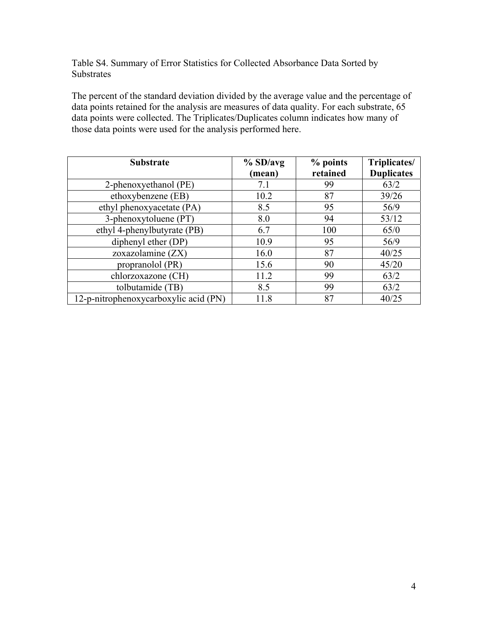Table S4. Summary of Error Statistics for Collected Absorbance Data Sorted by Substrates

The percent of the standard deviation divided by the average value and the percentage of data points retained for the analysis are measures of data quality. For each substrate, 65 data points were collected. The Triplicates/Duplicates column indicates how many of those data points were used for the analysis performed here.

| <b>Substrate</b>                      | $%$ SD/avg<br>(mean) | % points<br>retained | Triplicates/<br><b>Duplicates</b> |
|---------------------------------------|----------------------|----------------------|-----------------------------------|
| 2-phenoxyethanol (PE)                 | 7.1                  | 99                   | 63/2                              |
| ethoxybenzene (EB)                    | 10.2                 | 87                   | 39/26                             |
| ethyl phenoxyacetate (PA)             | 8.5                  | 95                   | 56/9                              |
| 3-phenoxytoluene (PT)                 | 8.0                  | 94                   | 53/12                             |
| ethyl 4-phenylbutyrate (PB)           | 6.7                  | 100                  | 65/0                              |
| diphenyl ether (DP)                   | 10.9                 | 95                   | 56/9                              |
| zoxazolamine (ZX)                     | 16.0                 | 87                   | 40/25                             |
| propranolol (PR)                      | 15.6                 | 90                   | 45/20                             |
| chlorzoxazone (CH)                    | 11.2                 | 99                   | 63/2                              |
| tolbutamide (TB)                      | 8.5                  | 99                   | 63/2                              |
| 12-p-nitrophenoxycarboxylic acid (PN) | 11.8                 | 87                   | 40/25                             |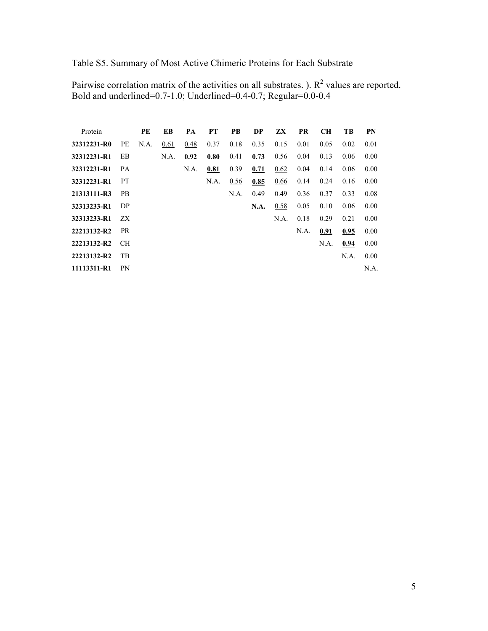Table S5. Summary of Most Active Chimeric Proteins for Each Substrate

Pairwise correlation matrix of the activities on all substrates. ).  $R^2$  values are reported. Bold and underlined=0.7-1.0; Underlined=0.4-0.7; Regular=0.0-0.4

| Protein     |           | PE   | EB   | PA   | PT   | PB   | DP   | ZX   | PR   | <b>CH</b> | TB   | PN   |
|-------------|-----------|------|------|------|------|------|------|------|------|-----------|------|------|
| 32312231-R0 | PE        | N.A. | 0.61 | 0.48 | 0.37 | 0.18 | 0.35 | 0.15 | 0.01 | 0.05      | 0.02 | 0.01 |
| 32312231-R1 | EB        |      | N.A. | 0.92 | 0.80 | 0.41 | 0.73 | 0.56 | 0.04 | 0.13      | 0.06 | 0.00 |
| 32312231-R1 | PA        |      |      | N.A. | 0.81 | 0.39 | 0.71 | 0.62 | 0.04 | 0.14      | 0.06 | 0.00 |
| 32312231-R1 | <b>PT</b> |      |      |      | N.A. | 0.56 | 0.85 | 0.66 | 0.14 | 0.24      | 0.16 | 0.00 |
| 21313111-R3 | <b>PB</b> |      |      |      |      | N.A. | 0.49 | 0.49 | 0.36 | 0.37      | 0.33 | 0.08 |
| 32313233-R1 | DP        |      |      |      |      |      | N.A. | 0.58 | 0.05 | 0.10      | 0.06 | 0.00 |
| 32313233-R1 | ZX        |      |      |      |      |      |      | N.A. | 0.18 | 0.29      | 0.21 | 0.00 |
| 22213132-R2 | <b>PR</b> |      |      |      |      |      |      |      | N.A. | 0.91      | 0.95 | 0.00 |
| 22213132-R2 | CH.       |      |      |      |      |      |      |      |      | N.A.      | 0.94 | 0.00 |
| 22213132-R2 | TB        |      |      |      |      |      |      |      |      |           | N.A. | 0.00 |
| 11113311-R1 | PN        |      |      |      |      |      |      |      |      |           |      | N.A. |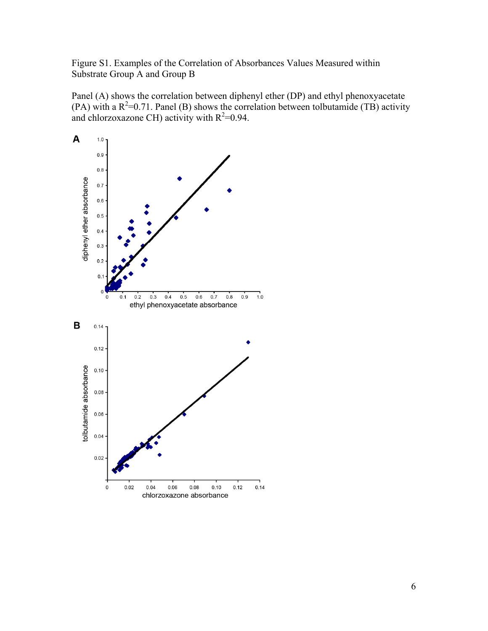Figure S1. Examples of the Correlation of Absorbances Values Measured within Substrate Group A and Group B

Panel (A) shows the correlation between diphenyl ether (DP) and ethyl phenoxyacetate (PA) with a  $R^2$ =0.71. Panel (B) shows the correlation between tolbutamide (TB) activity and chlorzoxazone CH) activity with  $R^2=0.94$ .

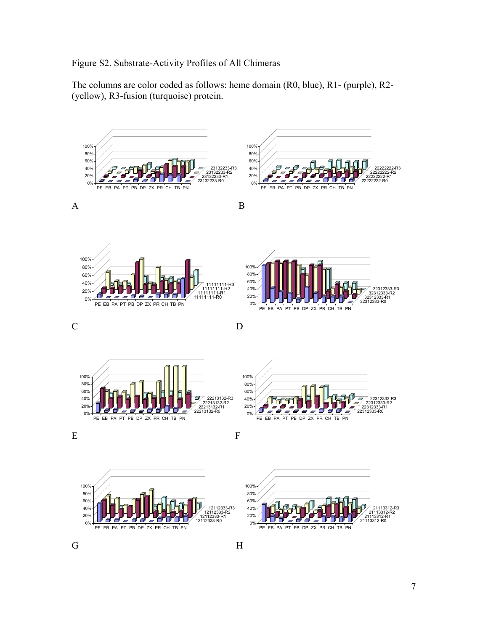### Figure S2. Substrate-Activity Profiles of All Chimeras

The columns are color coded as follows: heme domain (R0, blue), R1- (purple), R2- (yellow), R3-fusion (turquoise) protein.